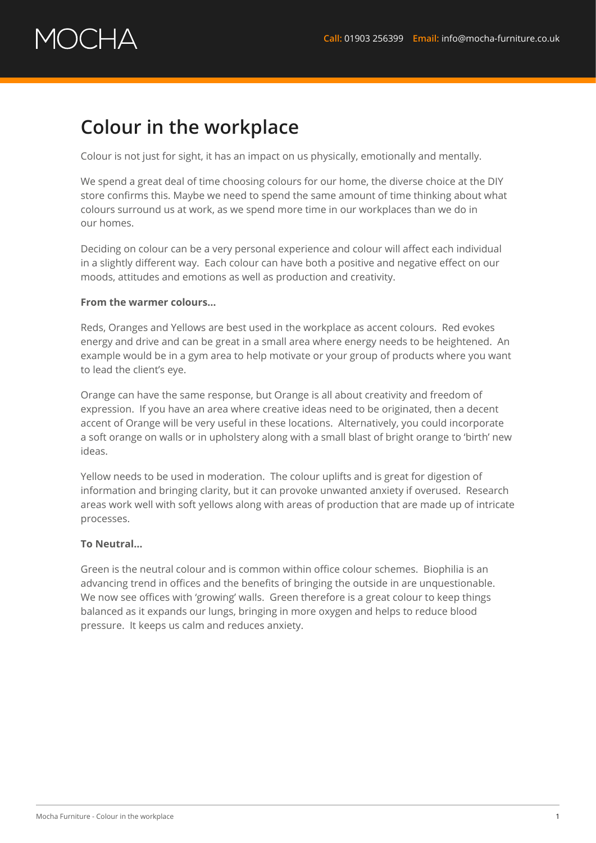# OCHA

### **Colour in the workplace**

Colour is not just for sight, it has an impact on us physically, emotionally and mentally.

We spend a great deal of time choosing colours for our home, the diverse choice at the DIY store confirms this. Maybe we need to spend the same amount of time thinking about what colours surround us at work, as we spend more time in our workplaces than we do in our homes.

Deciding on colour can be a very personal experience and colour will affect each individual in a slightly different way. Each colour can have both a positive and negative effect on our moods, attitudes and emotions as well as production and creativity.

### **From the warmer colours…**

Reds, Oranges and Yellows are best used in the workplace as accent colours. Red evokes energy and drive and can be great in a small area where energy needs to be heightened. An example would be in a gym area to help motivate or your group of products where you want to lead the client's eye.

Orange can have the same response, but Orange is all about creativity and freedom of expression. If you have an area where creative ideas need to be originated, then a decent accent of Orange will be very useful in these locations. Alternatively, you could incorporate a soft orange on walls or in upholstery along with a small blast of bright orange to 'birth' new ideas.

Yellow needs to be used in moderation. The colour uplifts and is great for digestion of information and bringing clarity, but it can provoke unwanted anxiety if overused. Research areas work well with soft yellows along with areas of production that are made up of intricate processes.

#### **To Neutral…**

Green is the neutral colour and is common within office colour schemes. Biophilia is an advancing trend in offices and the benefits of bringing the outside in are unquestionable. We now see offices with 'growing' walls. Green therefore is a great colour to keep things balanced as it expands our lungs, bringing in more oxygen and helps to reduce blood pressure. It keeps us calm and reduces anxiety.